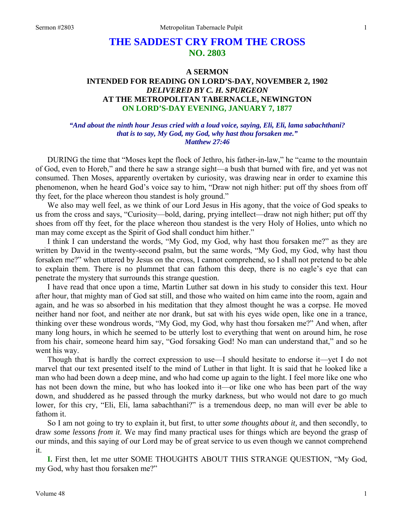# **THE SADDEST CRY FROM THE CROSS NO. 2803**

## **A SERMON INTENDED FOR READING ON LORD'S-DAY, NOVEMBER 2, 1902**  *DELIVERED BY C. H. SPURGEON*  **AT THE METROPOLITAN TABERNACLE, NEWINGTON ON LORD'S-DAY EVENING, JANUARY 7, 1877**

#### *"And about the ninth hour Jesus cried with a loud voice, saying, Eli, Eli, lama sabachthani? that is to say, My God, my God, why hast thou forsaken me." Matthew 27:46*

DURING the time that "Moses kept the flock of Jethro, his father-in-law," he "came to the mountain of God, even to Horeb," and there he saw a strange sight—a bush that burned with fire, and yet was not consumed. Then Moses, apparently overtaken by curiosity, was drawing near in order to examine this phenomenon, when he heard God's voice say to him, "Draw not nigh hither: put off thy shoes from off thy feet, for the place whereon thou standest is holy ground."

We also may well feel, as we think of our Lord Jesus in His agony, that the voice of God speaks to us from the cross and says, "Curiosity—bold, daring, prying intellect—draw not nigh hither; put off thy shoes from off thy feet, for the place whereon thou standest is the very Holy of Holies, unto which no man may come except as the Spirit of God shall conduct him hither."

I think I can understand the words, "My God, my God, why hast thou forsaken me?" as they are written by David in the twenty-second psalm, but the same words, "My God, my God, why hast thou forsaken me?" when uttered by Jesus on the cross, I cannot comprehend, so I shall not pretend to be able to explain them. There is no plummet that can fathom this deep, there is no eagle's eye that can penetrate the mystery that surrounds this strange question.

I have read that once upon a time, Martin Luther sat down in his study to consider this text. Hour after hour, that mighty man of God sat still, and those who waited on him came into the room, again and again, and he was so absorbed in his meditation that they almost thought he was a corpse. He moved neither hand nor foot, and neither ate nor drank, but sat with his eyes wide open, like one in a trance, thinking over these wondrous words, "My God, my God, why hast thou forsaken me?" And when, after many long hours, in which he seemed to be utterly lost to everything that went on around him, he rose from his chair, someone heard him say, "God forsaking God! No man can understand that," and so he went his way.

Though that is hardly the correct expression to use—I should hesitate to endorse it—yet I do not marvel that our text presented itself to the mind of Luther in that light. It is said that he looked like a man who had been down a deep mine, and who had come up again to the light. I feel more like one who has not been down the mine, but who has looked into it—or like one who has been part of the way down, and shuddered as he passed through the murky darkness, but who would not dare to go much lower, for this cry, "Eli, Eli, lama sabachthani?" is a tremendous deep, no man will ever be able to fathom it.

So I am not going to try to explain it, but first, to utter *some thoughts about it,* and then secondly, to draw *some lessons from it*. We may find many practical uses for things which are beyond the grasp of our minds, and this saying of our Lord may be of great service to us even though we cannot comprehend it.

**I.** First then, let me utter SOME THOUGHTS ABOUT THIS STRANGE QUESTION, "My God, my God, why hast thou forsaken me?"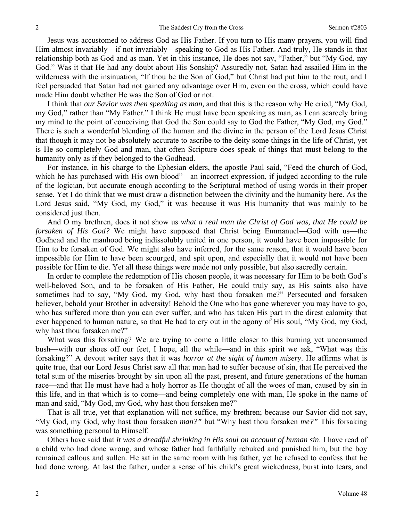Jesus was accustomed to address God as His Father. If you turn to His many prayers, you will find Him almost invariably—if not invariably—speaking to God as His Father. And truly, He stands in that relationship both as God and as man. Yet in this instance, He does not say, "Father," but "My God, my God." Was it that He had any doubt about His Sonship? Assuredly not, Satan had assailed Him in the wilderness with the insinuation, "If thou be the Son of God," but Christ had put him to the rout, and I feel persuaded that Satan had not gained any advantage over Him, even on the cross, which could have made Him doubt whether He was the Son of God or not.

I think that *our Savior was then speaking as man,* and that this is the reason why He cried, "My God, my God," rather than "My Father." I think He must have been speaking as man, as I can scarcely bring my mind to the point of conceiving that God the Son could say to God the Father, "My God, my God." There is such a wonderful blending of the human and the divine in the person of the Lord Jesus Christ that though it may not be absolutely accurate to ascribe to the deity some things in the life of Christ, yet is He so completely God and man, that often Scripture does speak of things that must belong to the humanity only as if they belonged to the Godhead.

For instance, in his charge to the Ephesian elders, the apostle Paul said, "Feed the church of God, which he has purchased with His own blood"—an incorrect expression, if judged according to the rule of the logician, but accurate enough according to the Scriptural method of using words in their proper sense. Yet I do think that we must draw a distinction between the divinity and the humanity here. As the Lord Jesus said, "My God, my God," it was because it was His humanity that was mainly to be considered just then.

And O my brethren, does it not show us *what a real man the Christ of God was, that He could be forsaken of His God?* We might have supposed that Christ being Emmanuel—God with us—the Godhead and the manhood being indissolubly united in one person, it would have been impossible for Him to be forsaken of God. We might also have inferred, for the same reason, that it would have been impossible for Him to have been scourged, and spit upon, and especially that it would not have been possible for Him to die. Yet all these things were made not only possible, but also sacredly certain.

In order to complete the redemption of His chosen people, it was necessary for Him to be both God's well-beloved Son, and to be forsaken of His Father, He could truly say, as His saints also have sometimes had to say, "My God, my God, why hast thou forsaken me?" Persecuted and forsaken believer, behold your Brother in adversity! Behold the One who has gone wherever you may have to go, who has suffered more than you can ever suffer, and who has taken His part in the direst calamity that ever happened to human nature, so that He had to cry out in the agony of His soul, "My God, my God, why hast thou forsaken me?"

What was this forsaking? We are trying to come a little closer to this burning yet unconsumed bush—with our shoes off our feet, I hope, all the while—and in this spirit we ask, "What was this forsaking?" A devout writer says that it was *horror at the sight of human misery*. He affirms what is quite true, that our Lord Jesus Christ saw all that man had to suffer because of sin, that He perceived the total sum of the miseries brought by sin upon all the past, present, and future generations of the human race—and that He must have had a holy horror as He thought of all the woes of man, caused by sin in this life, and in that which is to come—and being completely one with man, He spoke in the name of man and said, "My God, my God, why hast thou forsaken me?"

That is all true, yet that explanation will not suffice, my brethren; because our Savior did not say, "My God, my God, why hast thou forsaken *man?"* but "Why hast thou forsaken *me?"* This forsaking was something personal to Himself.

Others have said that *it was a dreadful shrinking in His soul on account of human sin*. I have read of a child who had done wrong, and whose father had faithfully rebuked and punished him, but the boy remained callous and sullen. He sat in the same room with his father, yet he refused to confess that he had done wrong. At last the father, under a sense of his child's great wickedness, burst into tears, and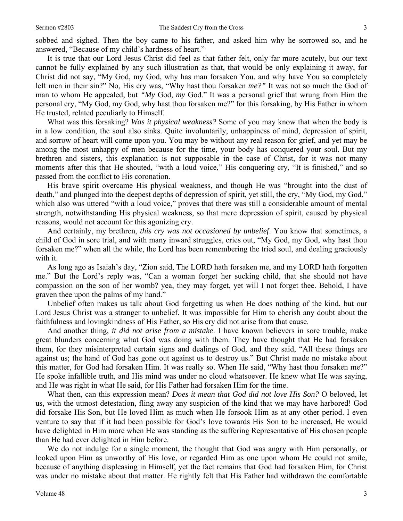sobbed and sighed. Then the boy came to his father, and asked him why he sorrowed so, and he answered, "Because of my child's hardness of heart."

It is true that our Lord Jesus Christ did feel as that father felt, only far more acutely, but our text cannot be fully explained by any such illustration as that, that would be only explaining it away, for Christ did not say, "My God, my God, why has man forsaken You, and why have You so completely left men in their sin?" No, His cry was, "Why hast thou forsaken *me?"* It was not so much the God of man to whom He appealed, but *"My* God, *my* God." It was a personal grief that wrung from Him the personal cry, "My God, my God, why hast thou forsaken me?" for this forsaking, by His Father in whom He trusted, related peculiarly to Himself.

What was this forsaking? *Was it physical weakness?* Some of you may know that when the body is in a low condition, the soul also sinks. Quite involuntarily, unhappiness of mind, depression of spirit, and sorrow of heart will come upon you. You may be without any real reason for grief, and yet may be among the most unhappy of men because for the time, your body has conquered your soul. But my brethren and sisters, this explanation is not supposable in the case of Christ, for it was not many moments after this that He shouted, "with a loud voice," His conquering cry, "It is finished," and so passed from the conflict to His coronation.

His brave spirit overcame His physical weakness, and though He was "brought into the dust of death," and plunged into the deepest depths of depression of spirit, yet still, the cry, "My God, my God," which also was uttered "with a loud voice," proves that there was still a considerable amount of mental strength, notwithstanding His physical weakness, so that mere depression of spirit, caused by physical reasons, would not account for this agonizing cry.

And certainly, my brethren, *this cry was not occasioned by unbelief*. You know that sometimes, a child of God in sore trial, and with many inward struggles, cries out, "My God, my God, why hast thou forsaken me?" when all the while, the Lord has been remembering the tried soul, and dealing graciously with it.

As long ago as Isaiah's day, "Zion said, The LORD hath forsaken me, and my LORD hath forgotten me." But the Lord's reply was, "Can a woman forget her sucking child, that she should not have compassion on the son of her womb? yea, they may forget, yet will I not forget thee. Behold, I have graven thee upon the palms of my hand."

Unbelief often makes us talk about God forgetting us when He does nothing of the kind, but our Lord Jesus Christ was a stranger to unbelief. It was impossible for Him to cherish any doubt about the faithfulness and lovingkindness of His Father, so His cry did not arise from that cause.

And another thing, *it did not arise from a mistake*. I have known believers in sore trouble, make great blunders concerning what God was doing with them. They have thought that He had forsaken them, for they misinterpreted certain signs and dealings of God, and they said, "All these things are against us; the hand of God has gone out against us to destroy us." But Christ made no mistake about this matter, for God had forsaken Him. It was really so. When He said, "Why hast thou forsaken me?" He spoke infallible truth, and His mind was under no cloud whatsoever. He knew what He was saying, and He was right in what He said, for His Father had forsaken Him for the time.

What then, can this expression mean? *Does it mean that God did not love His Son?* O beloved, let us, with the utmost detestation, fling away any suspicion of the kind that we may have harbored! God did forsake His Son, but He loved Him as much when He forsook Him as at any other period. I even venture to say that if it had been possible for God's love towards His Son to be increased, He would have delighted in Him more when He was standing as the suffering Representative of His chosen people than He had ever delighted in Him before.

We do not indulge for a single moment, the thought that God was angry with Him personally, or looked upon Him as unworthy of His love, or regarded Him as one upon whom He could not smile, because of anything displeasing in Himself, yet the fact remains that God had forsaken Him, for Christ was under no mistake about that matter. He rightly felt that His Father had withdrawn the comfortable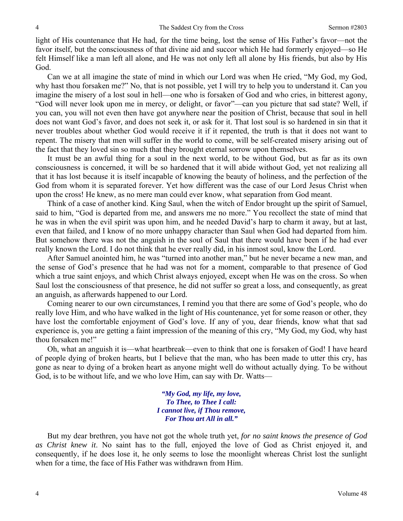light of His countenance that He had, for the time being, lost the sense of His Father's favor—not the favor itself, but the consciousness of that divine aid and succor which He had formerly enjoyed—so He felt Himself like a man left all alone, and He was not only left all alone by His friends, but also by His God.

Can we at all imagine the state of mind in which our Lord was when He cried, "My God, my God, why hast thou forsaken me?" No, that is not possible, yet I will try to help you to understand it. Can you imagine the misery of a lost soul in hell—one who is forsaken of God and who cries, in bitterest agony, "God will never look upon me in mercy, or delight, or favor"—can you picture that sad state? Well, if you can, you will not even then have got anywhere near the position of Christ, because that soul in hell does not want God's favor, and does not seek it, or ask for it. That lost soul is so hardened in sin that it never troubles about whether God would receive it if it repented, the truth is that it does not want to repent. The misery that men will suffer in the world to come, will be self-created misery arising out of the fact that they loved sin so much that they brought eternal sorrow upon themselves.

It must be an awful thing for a soul in the next world, to be without God, but as far as its own consciousness is concerned, it will be so hardened that it will abide without God, yet not realizing all that it has lost because it is itself incapable of knowing the beauty of holiness, and the perfection of the God from whom it is separated forever. Yet how different was the case of our Lord Jesus Christ when upon the cross! He knew, as no mere man could ever know, what separation from God meant.

Think of a case of another kind. King Saul, when the witch of Endor brought up the spirit of Samuel, said to him, "God is departed from me, and answers me no more." You recollect the state of mind that he was in when the evil spirit was upon him, and he needed David's harp to charm it away, but at last, even that failed, and I know of no more unhappy character than Saul when God had departed from him. But somehow there was not the anguish in the soul of Saul that there would have been if he had ever really known the Lord. I do not think that he ever really did, in his inmost soul, know the Lord.

After Samuel anointed him, he was "turned into another man," but he never became a new man, and the sense of God's presence that he had was not for a moment, comparable to that presence of God which a true saint enjoys, and which Christ always enjoyed, except when He was on the cross. So when Saul lost the consciousness of that presence, he did not suffer so great a loss, and consequently, as great an anguish, as afterwards happened to our Lord.

Coming nearer to our own circumstances, I remind you that there are some of God's people, who do really love Him, and who have walked in the light of His countenance, yet for some reason or other, they have lost the comfortable enjoyment of God's love. If any of you, dear friends, know what that sad experience is, you are getting a faint impression of the meaning of this cry, "My God, my God, why hast thou forsaken me!"

Oh, what an anguish it is—what heartbreak—even to think that one is forsaken of God! I have heard of people dying of broken hearts, but I believe that the man, who has been made to utter this cry, has gone as near to dying of a broken heart as anyone might well do without actually dying. To be without God, is to be without life, and we who love Him, can say with Dr. Watts—

> *"My God, my life, my love, To Thee, to Thee I call: I cannot live, if Thou remove, For Thou art All in all."*

But my dear brethren, you have not got the whole truth yet, *for no saint knows the presence of God as Christ knew it*. No saint has to the full, enjoyed the love of God as Christ enjoyed it, and consequently, if he does lose it, he only seems to lose the moonlight whereas Christ lost the sunlight when for a time, the face of His Father was withdrawn from Him.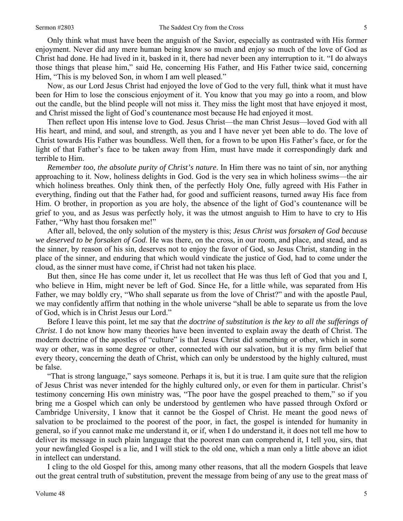Only think what must have been the anguish of the Savior, especially as contrasted with His former enjoyment. Never did any mere human being know so much and enjoy so much of the love of God as Christ had done. He had lived in it, basked in it, there had never been any interruption to it. "I do always those things that please him," said He, concerning His Father, and His Father twice said, concerning Him, "This is my beloved Son, in whom I am well pleased."

Now, as our Lord Jesus Christ had enjoyed the love of God to the very full, think what it must have been for Him to lose the conscious enjoyment of it. You know that you may go into a room, and blow out the candle, but the blind people will not miss it. They miss the light most that have enjoyed it most, and Christ missed the light of God's countenance most because He had enjoyed it most.

Then reflect upon His intense love to God. Jesus Christ—the man Christ Jesus—loved God with all His heart, and mind, and soul, and strength, as you and I have never yet been able to do. The love of Christ towards His Father was boundless. Well then, for a frown to be upon His Father's face, or for the light of that Father's face to be taken away from Him, must have made it correspondingly dark and terrible to Him.

*Remember too, the absolute purity of Christ's nature*. In Him there was no taint of sin, nor anything approaching to it. Now, holiness delights in God. God is the very sea in which holiness swims—the air which holiness breathes. Only think then, of the perfectly Holy One, fully agreed with His Father in everything, finding out that the Father had, for good and sufficient reasons, turned away His face from Him. O brother, in proportion as you are holy, the absence of the light of God's countenance will be grief to you, and as Jesus was perfectly holy, it was the utmost anguish to Him to have to cry to His Father, "Why hast thou forsaken me!"

After all, beloved, the only solution of the mystery is this; *Jesus Christ was forsaken of God because we deserved to be forsaken of God*. He was there, on the cross, in our room, and place, and stead, and as the sinner, by reason of his sin, deserves not to enjoy the favor of God, so Jesus Christ, standing in the place of the sinner, and enduring that which would vindicate the justice of God, had to come under the cloud, as the sinner must have come, if Christ had not taken his place.

But then, since He has come under it, let us recollect that He was thus left of God that you and I, who believe in Him, might never be left of God. Since He, for a little while, was separated from His Father, we may boldly cry, "Who shall separate us from the love of Christ?" and with the apostle Paul, we may confidently affirm that nothing in the whole universe "shall be able to separate us from the love of God, which is in Christ Jesus our Lord."

Before I leave this point, let me say that *the doctrine of substitution is the key to all the sufferings of Christ*. I do not know how many theories have been invented to explain away the death of Christ. The modern doctrine of the apostles of "culture" is that Jesus Christ did something or other, which in some way or other, was in some degree or other, connected with our salvation, but it is my firm belief that every theory, concerning the death of Christ, which can only be understood by the highly cultured, must be false.

"That is strong language," says someone. Perhaps it is, but it is true. I am quite sure that the religion of Jesus Christ was never intended for the highly cultured only, or even for them in particular. Christ's testimony concerning His own ministry was, "The poor have the gospel preached to them," so if you bring me a Gospel which can only be understood by gentlemen who have passed through Oxford or Cambridge University, I know that it cannot be the Gospel of Christ. He meant the good news of salvation to be proclaimed to the poorest of the poor, in fact, the gospel is intended for humanity in general, so if you cannot make me understand it, or if, when I do understand it, it does not tell me how to deliver its message in such plain language that the poorest man can comprehend it, I tell you, sirs, that your newfangled Gospel is a lie, and I will stick to the old one, which a man only a little above an idiot in intellect can understand.

I cling to the old Gospel for this, among many other reasons, that all the modern Gospels that leave out the great central truth of substitution, prevent the message from being of any use to the great mass of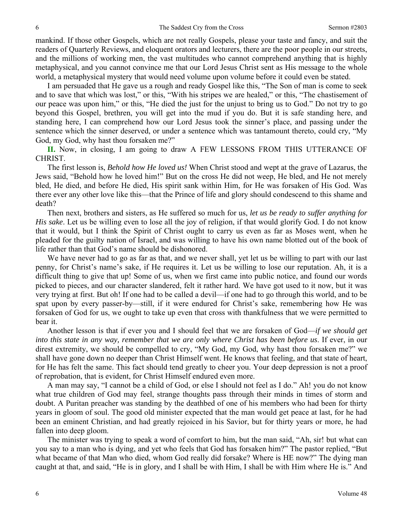mankind. If those other Gospels, which are not really Gospels, please your taste and fancy, and suit the readers of Quarterly Reviews, and eloquent orators and lecturers, there are the poor people in our streets, and the millions of working men, the vast multitudes who cannot comprehend anything that is highly metaphysical, and you cannot convince me that our Lord Jesus Christ sent as His message to the whole world, a metaphysical mystery that would need volume upon volume before it could even be stated.

I am persuaded that He gave us a rough and ready Gospel like this, "The Son of man is come to seek and to save that which was lost," or this, "With his stripes we are healed," or this, "The chastisement of our peace was upon him," or this, "He died the just for the unjust to bring us to God." Do not try to go beyond this Gospel, brethren, you will get into the mud if you do. But it is safe standing here, and standing here, I can comprehend how our Lord Jesus took the sinner's place, and passing under the sentence which the sinner deserved, or under a sentence which was tantamount thereto, could cry, "My God, my God, why hast thou forsaken me?"

**II.** Now, in closing, I am going to draw A FEW LESSONS FROM THIS UTTERANCE OF CHRIST.

The first lesson is, *Behold how He loved us!* When Christ stood and wept at the grave of Lazarus, the Jews said, "Behold how he loved him!" But on the cross He did not weep, He bled, and He not merely bled, He died, and before He died, His spirit sank within Him, for He was forsaken of His God. Was there ever any other love like this—that the Prince of life and glory should condescend to this shame and death?

Then next, brothers and sisters, as He suffered so much for us, *let us be ready to suffer anything for His sake*. Let us be willing even to lose all the joy of religion, if that would glorify God. I do not know that it would, but I think the Spirit of Christ ought to carry us even as far as Moses went, when he pleaded for the guilty nation of Israel, and was willing to have his own name blotted out of the book of life rather than that God's name should be dishonored.

We have never had to go as far as that, and we never shall, yet let us be willing to part with our last penny, for Christ's name's sake, if He requires it. Let us be willing to lose our reputation. Ah, it is a difficult thing to give that up! Some of us, when we first came into public notice, and found our words picked to pieces, and our character slandered, felt it rather hard. We have got used to it now, but it was very trying at first. But oh! If one had to be called a devil—if one had to go through this world, and to be spat upon by every passer-by—still, if it were endured for Christ's sake, remembering how He was forsaken of God for us, we ought to take up even that cross with thankfulness that we were permitted to bear it.

Another lesson is that if ever you and I should feel that we are forsaken of God—*if we should get into this state in any way, remember that we are only where Christ has been before us*. If ever, in our direst extremity, we should be compelled to cry, "My God, my God, why hast thou forsaken me?" we shall have gone down no deeper than Christ Himself went. He knows that feeling, and that state of heart, for He has felt the same. This fact should tend greatly to cheer you. Your deep depression is not a proof of reprobation, that is evident, for Christ Himself endured even more.

A man may say, "I cannot be a child of God, or else I should not feel as I do." Ah! you do not know what true children of God may feel, strange thoughts pass through their minds in times of storm and doubt. A Puritan preacher was standing by the deathbed of one of his members who had been for thirty years in gloom of soul. The good old minister expected that the man would get peace at last, for he had been an eminent Christian, and had greatly rejoiced in his Savior, but for thirty years or more, he had fallen into deep gloom.

The minister was trying to speak a word of comfort to him, but the man said, "Ah, sir! but what can you say to a man who is dying, and yet who feels that God has forsaken him?" The pastor replied, "But what became of that Man who died, whom God really did forsake? Where is HE now?" The dying man caught at that, and said, "He is in glory, and I shall be with Him, I shall be with Him where He is." And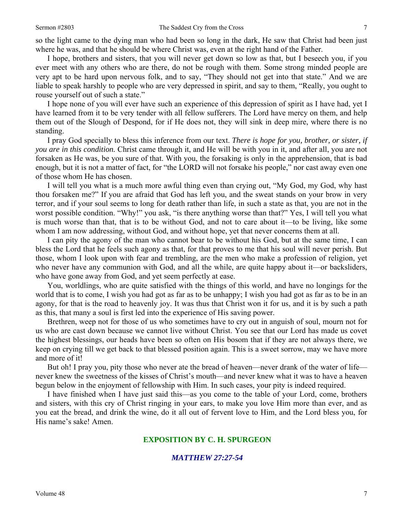so the light came to the dying man who had been so long in the dark, He saw that Christ had been just where he was, and that he should be where Christ was, even at the right hand of the Father.

I hope, brothers and sisters, that you will never get down so low as that, but I beseech you, if you ever meet with any others who are there, do not be rough with them. Some strong minded people are very apt to be hard upon nervous folk, and to say, "They should not get into that state." And we are liable to speak harshly to people who are very depressed in spirit, and say to them, "Really, you ought to rouse yourself out of such a state."

I hope none of you will ever have such an experience of this depression of spirit as I have had, yet I have learned from it to be very tender with all fellow sufferers. The Lord have mercy on them, and help them out of the Slough of Despond, for if He does not, they will sink in deep mire, where there is no standing.

I pray God specially to bless this inference from our text. *There is hope for you, brother, or sister, if you are in this condition.* Christ came through it, and He will be with you in it, and after all, you are not forsaken as He was, be you sure of that. With you, the forsaking is only in the apprehension, that is bad enough, but it is not a matter of fact, for "the LORD will not forsake his people," nor cast away even one of those whom He has chosen.

I will tell you what is a much more awful thing even than crying out, "My God, my God, why hast thou forsaken me?" If you are afraid that God has left you, and the sweat stands on your brow in very terror, and if your soul seems to long for death rather than life, in such a state as that, you are not in the worst possible condition. "Why!" you ask, "is there anything worse than that?" Yes, I will tell you what is much worse than that, that is to be without God, and not to care about it—to be living, like some whom I am now addressing, without God, and without hope, yet that never concerns them at all.

I can pity the agony of the man who cannot bear to be without his God, but at the same time, I can bless the Lord that he feels such agony as that, for that proves to me that his soul will never perish. But those, whom I look upon with fear and trembling, are the men who make a profession of religion, yet who never have any communion with God, and all the while, are quite happy about it—or backsliders, who have gone away from God, and yet seem perfectly at ease.

You, worldlings, who are quite satisfied with the things of this world, and have no longings for the world that is to come, I wish you had got as far as to be unhappy; I wish you had got as far as to be in an agony, for that is the road to heavenly joy. It was thus that Christ won it for us, and it is by such a path as this, that many a soul is first led into the experience of His saving power.

Brethren, weep not for those of us who sometimes have to cry out in anguish of soul, mourn not for us who are cast down because we cannot live without Christ. You see that our Lord has made us covet the highest blessings, our heads have been so often on His bosom that if they are not always there, we keep on crying till we get back to that blessed position again. This is a sweet sorrow, may we have more and more of it!

But oh! I pray you, pity those who never ate the bread of heaven—never drank of the water of life never knew the sweetness of the kisses of Christ's mouth—and never knew what it was to have a heaven begun below in the enjoyment of fellowship with Him. In such cases, your pity is indeed required.

I have finished when I have just said this—as you come to the table of your Lord, come, brothers and sisters, with this cry of Christ ringing in your ears, to make you love Him more than ever, and as you eat the bread, and drink the wine, do it all out of fervent love to Him, and the Lord bless you, for His name's sake! Amen.

#### **EXPOSITION BY C. H. SPURGEON**

#### *MATTHEW 27:27-54*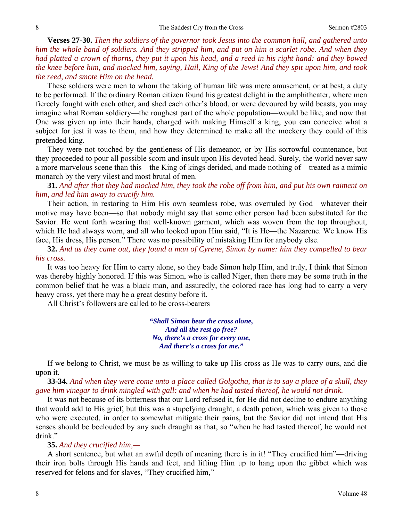**Verses 27-30.** *Then the soldiers of the governor took Jesus into the common hall, and gathered unto him the whole band of soldiers. And they stripped him, and put on him a scarlet robe. And when they had platted a crown of thorns, they put it upon his head, and a reed in his right hand: and they bowed the knee before him, and mocked him, saying, Hail, King of the Jews! And they spit upon him, and took the reed, and smote Him on the head.* 

These soldiers were men to whom the taking of human life was mere amusement, or at best, a duty to be performed. If the ordinary Roman citizen found his greatest delight in the amphitheater, where men fiercely fought with each other, and shed each other's blood, or were devoured by wild beasts, you may imagine what Roman soldiery—the roughest part of the whole population—would be like, and now that One was given up into their hands, charged with making Himself a king, you can conceive what a subject for jest it was to them, and how they determined to make all the mockery they could of this pretended king.

They were not touched by the gentleness of His demeanor, or by His sorrowful countenance, but they proceeded to pour all possible scorn and insult upon His devoted head. Surely, the world never saw a more marvelous scene than this—the King of kings derided, and made nothing of—treated as a mimic monarch by the very vilest and most brutal of men.

**31.** *And after that they had mocked him, they took the robe off from him, and put his own raiment on him, and led him away to crucify him.* 

Their action, in restoring to Him His own seamless robe, was overruled by God—whatever their motive may have been—so that nobody might say that some other person had been substituted for the Savior. He went forth wearing that well-known garment, which was woven from the top throughout, which He had always worn, and all who looked upon Him said, "It is He—the Nazarene. We know His face, His dress, His person." There was no possibility of mistaking Him for anybody else.

**32.** *And as they came out, they found a man of Cyrene, Simon by name: him they compelled to bear his cross.* 

It was too heavy for Him to carry alone, so they bade Simon help Him, and truly, I think that Simon was thereby highly honored. If this was Simon, who is called Niger, then there may be some truth in the common belief that he was a black man, and assuredly, the colored race has long had to carry a very heavy cross, yet there may be a great destiny before it.

All Christ's followers are called to be cross-bearers—

*"Shall Simon bear the cross alone, And all the rest go free? No, there's a cross for every one, And there's a cross for me."* 

If we belong to Christ, we must be as willing to take up His cross as He was to carry ours, and die upon it.

**33-34.** *And when they were come unto a place called Golgotha, that is to say a place of a skull, they gave him vinegar to drink mingled with gall: and when he had tasted thereof, he would not drink.* 

It was not because of its bitterness that our Lord refused it, for He did not decline to endure anything that would add to His grief, but this was a stupefying draught, a death potion, which was given to those who were executed, in order to somewhat mitigate their pains, but the Savior did not intend that His senses should be beclouded by any such draught as that, so "when he had tasted thereof, he would not drink."

#### **35.** *And they crucified him,—*

A short sentence, but what an awful depth of meaning there is in it! "They crucified him"—driving their iron bolts through His hands and feet, and lifting Him up to hang upon the gibbet which was reserved for felons and for slaves, "They crucified him,"—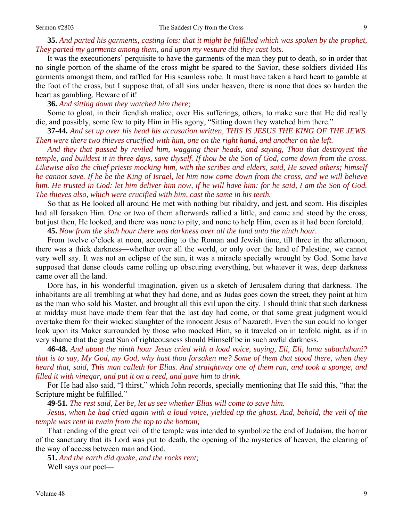## **35.** *And parted his garments, casting lots: that it might be fulfilled which was spoken by the prophet, They parted my garments among them, and upon my vesture did they cast lots.*

It was the executioners' perquisite to have the garments of the man they put to death, so in order that no single portion of the shame of the cross might be spared to the Savior, these soldiers divided His garments amongst them, and raffled for His seamless robe. It must have taken a hard heart to gamble at the foot of the cross, but I suppose that, of all sins under heaven, there is none that does so harden the heart as gambling. Beware of it!

**36.** *And sitting down they watched him there;* 

Some to gloat, in their fiendish malice, over His sufferings, others, to make sure that He did really die, and possibly, some few to pity Him in His agony, "Sitting down they watched him there."

**37-44.** *And set up over his head his accusation written, THIS IS JESUS THE KING OF THE JEWS. Then were there two thieves crucified with him, one on the right hand, and another on the left.* 

*And they that passed by reviled him, wagging their heads, and saying, Thou that destroyest the temple, and buildest it in three days, save thyself. If thou be the Son of God, come down from the cross. Likewise also the chief priests mocking him, with the scribes and elders, said, He saved others; himself he cannot save. If he be the King of Israel, let him now come down from the cross, and we will believe him. He trusted in God: let him deliver him now, if he will have him: for he said, I am the Son of God. The thieves also, which were crucified with him, cast the same in his teeth.* 

So that as He looked all around He met with nothing but ribaldry, and jest, and scorn. His disciples had all forsaken Him. One or two of them afterwards rallied a little, and came and stood by the cross, but just then, He looked, and there was none to pity, and none to help Him, even as it had been foretold.

**45.** *Now from the sixth hour there was darkness over all the land unto the ninth hour.* 

From twelve o'clock at noon, according to the Roman and Jewish time, till three in the afternoon, there was a thick darkness—whether over all the world, or only over the land of Palestine, we cannot very well say. It was not an eclipse of the sun, it was a miracle specially wrought by God. Some have supposed that dense clouds came rolling up obscuring everything, but whatever it was, deep darkness came over all the land.

Dore has, in his wonderful imagination, given us a sketch of Jerusalem during that darkness. The inhabitants are all trembling at what they had done, and as Judas goes down the street, they point at him as the man who sold his Master, and brought all this evil upon the city. I should think that such darkness at midday must have made them fear that the last day had come, or that some great judgment would overtake them for their wicked slaughter of the innocent Jesus of Nazareth. Even the sun could no longer look upon its Maker surrounded by those who mocked Him, so it traveled on in tenfold night, as if in very shame that the great Sun of righteousness should Himself be in such awful darkness.

**46-48.** *And about the ninth hour Jesus cried with a load voice, saying, Eli, Eli, lama sabachthani? that is to say, My God, my God, why hast thou forsaken me? Some of them that stood there, when they heard that, said, This man calleth for Elias. And straightway one of them ran, and took a sponge, and filled it with vinegar, and put it on a reed, and gave him to drink.* 

For He had also said, "I thirst," which John records, specially mentioning that He said this, "that the Scripture might be fulfilled."

**49-51.** *The rest said, Let be, let us see whether Elias will come to save him.* 

*Jesus, when he had cried again with a loud voice, yielded up the ghost. And, behold, the veil of the temple was rent in twain from the top to the bottom;* 

That rending of the great veil of the temple was intended to symbolize the end of Judaism, the horror of the sanctuary that its Lord was put to death, the opening of the mysteries of heaven, the clearing of the way of access between man and God.

**51.** *And the earth did quake, and the rocks rent;* 

Well says our poet—